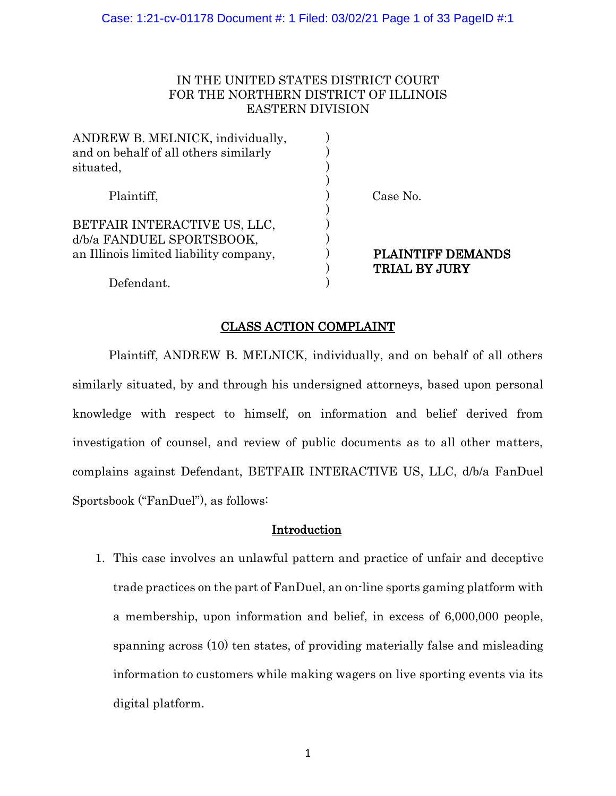# IN THE UNITED STATES DISTRICT COURT FOR THE NORTHERN DISTRICT OF ILLINOIS EASTERN DIVISION

| ANDREW B. MELNICK, individually,<br>and on behalf of all others similarly<br>situated, |                          |
|----------------------------------------------------------------------------------------|--------------------------|
| Plaintiff,                                                                             | Case No.                 |
| BETFAIR INTERACTIVE US, LLC,                                                           |                          |
| d/b/a FANDUEL SPORTSBOOK,                                                              |                          |
| an Illinois limited liability company,                                                 | <b>PLAINTIFF DEMANDS</b> |
|                                                                                        | <b>TRIAL BY JURY</b>     |
| Defendant.                                                                             |                          |

# CLASS ACTION COMPLAINT

Plaintiff, ANDREW B. MELNICK, individually, and on behalf of all others similarly situated, by and through his undersigned attorneys, based upon personal knowledge with respect to himself, on information and belief derived from investigation of counsel, and review of public documents as to all other matters, complains against Defendant, BETFAIR INTERACTIVE US, LLC, d/b/a FanDuel Sportsbook ("FanDuel"), as follows:

## **Introduction**

1. This case involves an unlawful pattern and practice of unfair and deceptive trade practices on the part of FanDuel, an on-line sports gaming platform with a membership, upon information and belief, in excess of 6,000,000 people, spanning across (10) ten states, of providing materially false and misleading information to customers while making wagers on live sporting events via its digital platform.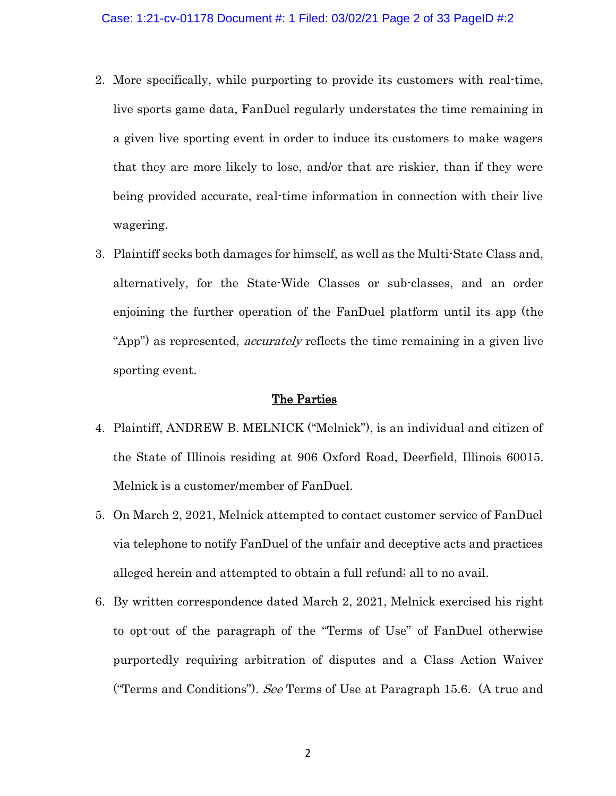- 2. More specifically, while purporting to provide its customers with real-time, live sports game data, FanDuel regularly understates the time remaining in a given live sporting event in order to induce its customers to make wagers that they are more likely to lose, and/or that are riskier, than if they were being provided accurate, real-time information in connection with their live wagering.
- 3. Plaintiff seeks both damages for himself, as well as the Multi-State Class and, alternatively, for the State-Wide Classes or sub-classes, and an order enjoining the further operation of the FanDuel platform until its app (the "App") as represented, *accurately* reflects the time remaining in a given live sporting event.

## The Parties

- 4. Plaintiff, ANDREW B. MELNICK ("Melnick"), is an individual and citizen of the State of Illinois residing at 906 Oxford Road, Deerfield, Illinois 60015. Melnick is a customer/member of FanDuel.
- 5. On March 2, 2021, Melnick attempted to contact customer service of FanDuel via telephone to notify FanDuel of the unfair and deceptive acts and practices alleged herein and attempted to obtain a full refund; all to no avail.
- 6. By written correspondence dated March 2, 2021, Melnick exercised his right to opt-out of the paragraph of the "Terms of Use" of FanDuel otherwise purportedly requiring arbitration of disputes and a Class Action Waiver ("Terms and Conditions"). See Terms of Use at Paragraph 15.6. (A true and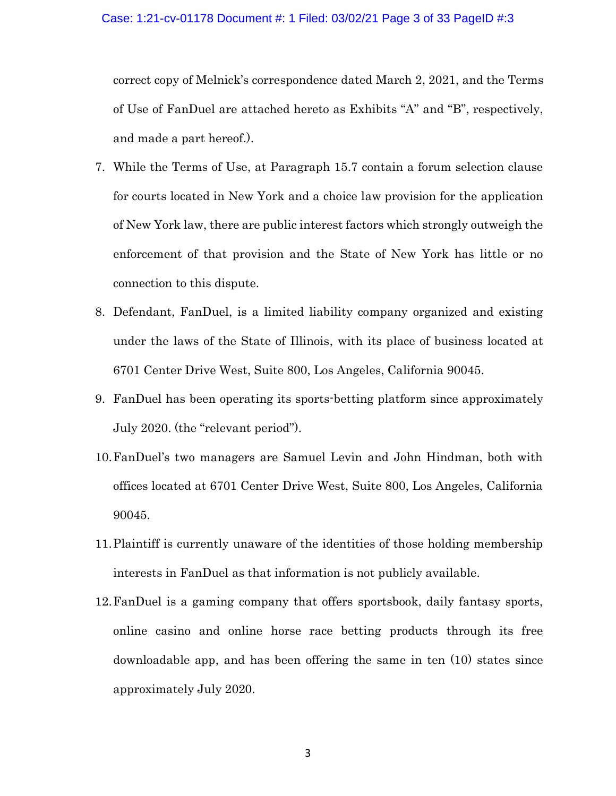correct copy of Melnick's correspondence dated March 2, 2021, and the Terms of Use of FanDuel are attached hereto as Exhibits "A" and "B", respectively, and made a part hereof.).

- 7. While the Terms of Use, at Paragraph 15.7 contain a forum selection clause for courts located in New York and a choice law provision for the application of New York law, there are public interest factors which strongly outweigh the enforcement of that provision and the State of New York has little or no connection to this dispute.
- 8. Defendant, FanDuel, is a limited liability company organized and existing under the laws of the State of Illinois, with its place of business located at 6701 Center Drive West, Suite 800, Los Angeles, California 90045.
- 9. FanDuel has been operating its sports-betting platform since approximately July 2020. (the "relevant period").
- 10.FanDuel's two managers are Samuel Levin and John Hindman, both with offices located at 6701 Center Drive West, Suite 800, Los Angeles, California 90045.
- 11.Plaintiff is currently unaware of the identities of those holding membership interests in FanDuel as that information is not publicly available.
- 12.FanDuel is a gaming company that offers sportsbook, daily fantasy sports, online casino and online horse race betting products through its free downloadable app, and has been offering the same in ten (10) states since approximately July 2020.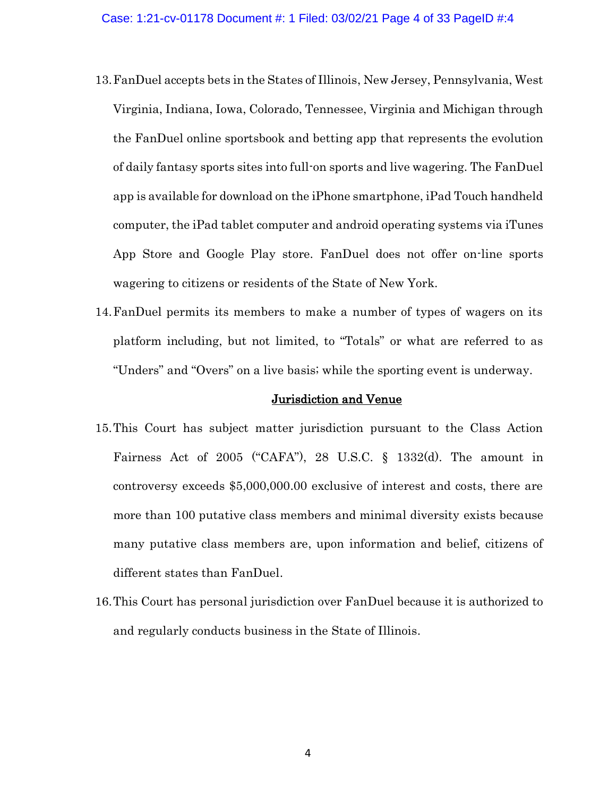- 13.FanDuel accepts bets in the States of Illinois, New Jersey, Pennsylvania, West Virginia, Indiana, Iowa, Colorado, Tennessee, Virginia and Michigan through the FanDuel online sportsbook and betting app that represents the evolution of daily fantasy sports sites into full-on sports and live wagering. The FanDuel app is available for download on the iPhone smartphone, iPad Touch handheld computer, the iPad tablet computer and android operating systems via iTunes App Store and Google Play store. FanDuel does not offer on-line sports wagering to citizens or residents of the State of New York.
- 14.FanDuel permits its members to make a number of types of wagers on its platform including, but not limited, to "Totals" or what are referred to as "Unders" and "Overs" on a live basis; while the sporting event is underway.

#### Jurisdiction and Venue

- 15.This Court has subject matter jurisdiction pursuant to the Class Action Fairness Act of 2005 ("CAFA"), 28 U.S.C. § 1332(d). The amount in controversy exceeds \$5,000,000.00 exclusive of interest and costs, there are more than 100 putative class members and minimal diversity exists because many putative class members are, upon information and belief, citizens of different states than FanDuel.
- 16.This Court has personal jurisdiction over FanDuel because it is authorized to and regularly conducts business in the State of Illinois.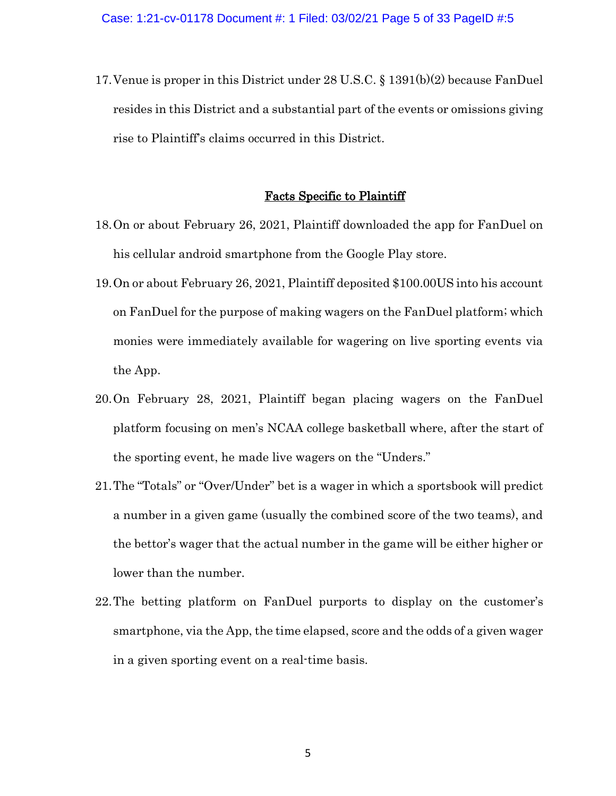17.Venue is proper in this District under 28 U.S.C. § 1391(b)(2) because FanDuel resides in this District and a substantial part of the events or omissions giving rise to Plaintiff's claims occurred in this District.

#### Facts Specific to Plaintiff

- 18.On or about February 26, 2021, Plaintiff downloaded the app for FanDuel on his cellular android smartphone from the Google Play store.
- 19.On or about February 26, 2021, Plaintiff deposited \$100.00US into his account on FanDuel for the purpose of making wagers on the FanDuel platform; which monies were immediately available for wagering on live sporting events via the App.
- 20.On February 28, 2021, Plaintiff began placing wagers on the FanDuel platform focusing on men's NCAA college basketball where, after the start of the sporting event, he made live wagers on the "Unders."
- 21.The "Totals" or "Over/Under" bet is a wager in which a sportsbook will predict a number in a given game (usually the combined score of the two teams), and the bettor's wager that the actual number in the game will be either higher or lower than the number.
- 22.The betting platform on FanDuel purports to display on the customer's smartphone, via the App, the time elapsed, score and the odds of a given wager in a given sporting event on a real-time basis.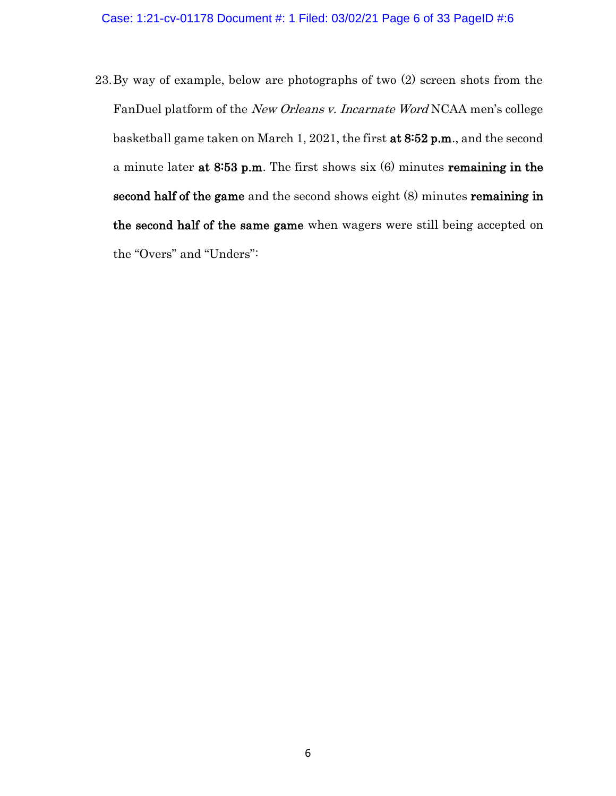23.By way of example, below are photographs of two (2) screen shots from the FanDuel platform of the New Orleans v. Incarnate Word NCAA men's college basketball game taken on March 1, 2021, the first at 8:52 p.m., and the second a minute later at 8:53 p.m. The first shows six (6) minutes remaining in the second half of the game and the second shows eight (8) minutes remaining in the second half of the same game when wagers were still being accepted on the "Overs" and "Unders":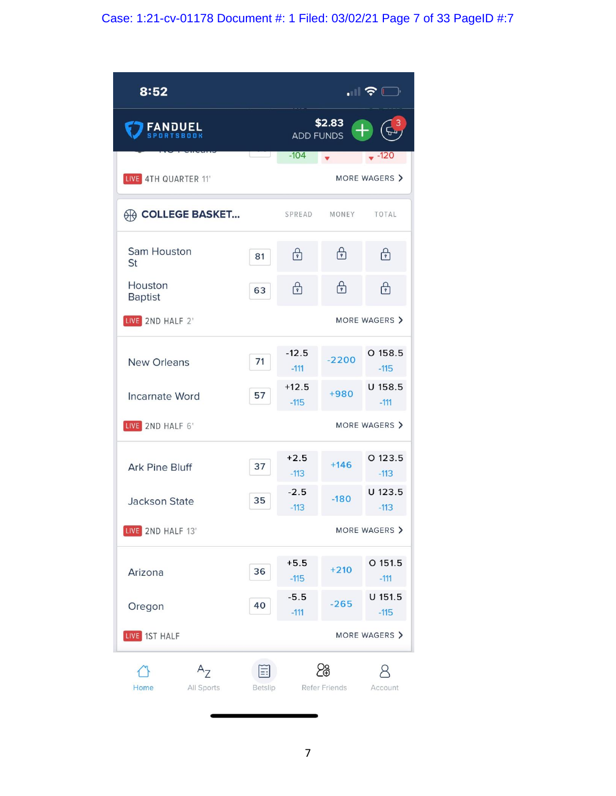# Case: 1:21-cv-01178 Document #: 1 Filed: 03/02/21 Page 7 of 33 PageID #:7

| 8:52                          |              |                   |                         | $\blacksquare$ $\widehat{\boldsymbol{\varsigma}}$ $\Box$ |  |  |
|-------------------------------|--------------|-------------------|-------------------------|----------------------------------------------------------|--|--|
| <b>FANDUEL</b>                |              | <b>ADD FUNDS</b>  | \$2.83<br>$^{+}$        |                                                          |  |  |
|                               |              | $-104$            | $\overline{\mathbf{v}}$ | $-120$                                                   |  |  |
| LIVE 4TH QUARTER 11'          |              | MORE WAGERS >     |                         |                                                          |  |  |
| <b>A COLLEGE BASKET</b>       |              | SPREAD            | MONEY                   | TOTAL                                                    |  |  |
| Sam Houston<br>St             | 81           | $\bigoplus$       | $\bigoplus$             | $\bigoplus$                                              |  |  |
| Houston<br><b>Baptist</b>     | 63           | $\bigoplus$       | ⊕                       | $\bigoplus$                                              |  |  |
| LIVE 2ND HALF 2'              |              | MORE WAGERS >     |                         |                                                          |  |  |
| <b>New Orleans</b>            | 71           | $-12.5$<br>$-111$ | $-2200$                 | $O$ 158.5<br>$-115$                                      |  |  |
| <b>Incarnate Word</b>         | 57           | $+12.5$<br>$-115$ | +980                    | U 158.5<br>$-111$                                        |  |  |
| LIVE 2ND HALF 6'              |              |                   |                         | MORE WAGERS >                                            |  |  |
| <b>Ark Pine Bluff</b>         | 37           | $+2.5$<br>$-113$  | $+146$                  | $O$ 123.5<br>$-113$                                      |  |  |
| <b>Jackson State</b>          | 35           | $-2.5$<br>$-113$  | $-180$                  | U 123.5<br>$-113$                                        |  |  |
| LIVE 2ND HALF 13'             |              |                   |                         | MORE WAGERS >                                            |  |  |
| Arizona                       | 36           | $+5.5$<br>$-115$  | $+210$                  | O 151.5<br>$-111$                                        |  |  |
| Oregon                        | 40           | $-5.5$<br>$-111$  | $-265$                  | $U$ 151.5<br>$-115$                                      |  |  |
| LIVE 1ST HALF                 |              | MORE WAGERS >     |                         |                                                          |  |  |
| $A_{7}$<br>Home<br>All Sports | 킈<br>Betslip |                   | န္ထ<br>Refer Friends    | Account                                                  |  |  |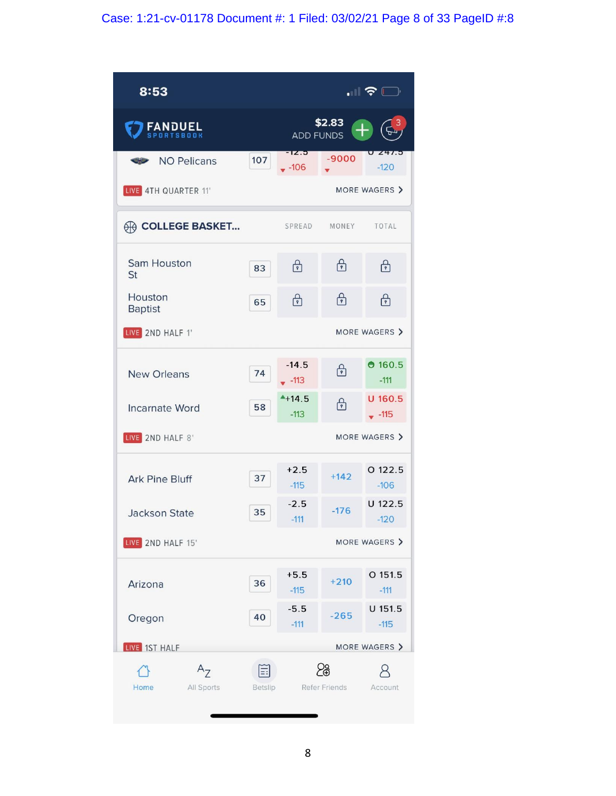# Case: 1:21-cv-01178 Document #: 1 Filed: 03/02/21 Page 8 of 33 PageID #:8

| 8:53                               |         |                                      |                      | $\blacksquare$ , $\blacksquare$ |  |  |  |
|------------------------------------|---------|--------------------------------------|----------------------|---------------------------------|--|--|--|
| <b>FANDUEL</b><br><b>TSBOOK</b>    |         | \$2.83<br>$^{+}$<br><b>ADD FUNDS</b> |                      |                                 |  |  |  |
| <b>NO Pelicans</b>                 | 107     | 1 <b>Z3</b><br>$-106$                | $-9000$              | 241.5<br>$-120$                 |  |  |  |
| LIVE 4TH QUARTER 11'               |         |                                      |                      | MORE WAGERS >                   |  |  |  |
| <b>A COLLEGE BASKET</b>            |         | SPREAD                               | MONEY                | <b>TOTAL</b>                    |  |  |  |
| <b>Sam Houston</b><br>St           | 83      | ⊕                                    | ⊕                    | ்                               |  |  |  |
| Houston<br><b>Baptist</b>          | 65      | $\bigoplus$                          | ்                    | $\bigoplus$                     |  |  |  |
| LIVE 2ND HALF 1'                   |         | MORE WAGERS >                        |                      |                                 |  |  |  |
| <b>New Orleans</b>                 | 74      | $-14.5$<br>$-113$                    | ்                    | 0.160.5<br>$-111$               |  |  |  |
| <b>Incarnate Word</b>              | 58      | $+14.5$<br>$-113$                    | ⊕                    | $U$ 160.5<br>$-115$             |  |  |  |
| LIVE 2ND HALF 8'                   |         |                                      |                      | MORE WAGERS >                   |  |  |  |
| <b>Ark Pine Bluff</b>              | 37      | $+2.5$<br>$-115$                     | $+142$               | O 122.5<br>$-106$               |  |  |  |
| <b>Jackson State</b>               | 35      | $-2.5$<br>$-111$                     | $-176$               | U 122.5<br>$-120$               |  |  |  |
| MORE WAGERS ><br>LIVE 2ND HALF 15' |         |                                      |                      |                                 |  |  |  |
| Arizona                            | 36      | $+5.5$<br>$-115$                     | $+210$               | $O$ 151.5<br>$-111$             |  |  |  |
| Oregon                             | 40      | $-5.5$<br>$-111$                     | $-265$               | U 151.5<br>$-115$               |  |  |  |
| LIVE 1ST HALF                      |         |                                      |                      | MORE WAGERS >                   |  |  |  |
| $A_{7}$<br>Home<br>All Sports      | Betslip |                                      | န္တ<br>Refer Friends | Account                         |  |  |  |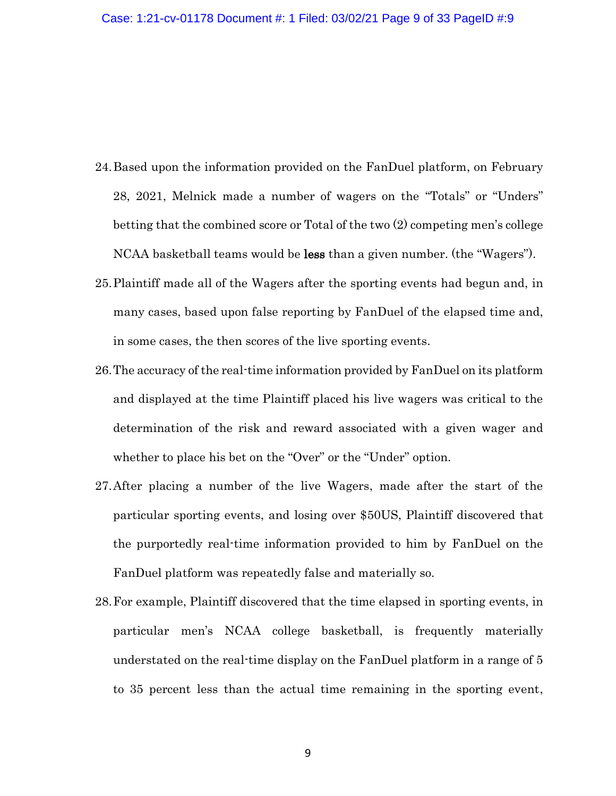- 24.Based upon the information provided on the FanDuel platform, on February 28, 2021, Melnick made a number of wagers on the "Totals" or "Unders" betting that the combined score or Total of the two (2) competing men's college NCAA basketball teams would be less than a given number. (the "Wagers").
- 25.Plaintiff made all of the Wagers after the sporting events had begun and, in many cases, based upon false reporting by FanDuel of the elapsed time and, in some cases, the then scores of the live sporting events.
- 26.The accuracy of the real-time information provided by FanDuel on its platform and displayed at the time Plaintiff placed his live wagers was critical to the determination of the risk and reward associated with a given wager and whether to place his bet on the "Over" or the "Under" option.
- 27.After placing a number of the live Wagers, made after the start of the particular sporting events, and losing over \$50US, Plaintiff discovered that the purportedly real-time information provided to him by FanDuel on the FanDuel platform was repeatedly false and materially so.
- 28.For example, Plaintiff discovered that the time elapsed in sporting events, in particular men's NCAA college basketball, is frequently materially understated on the real-time display on the FanDuel platform in a range of 5 to 35 percent less than the actual time remaining in the sporting event,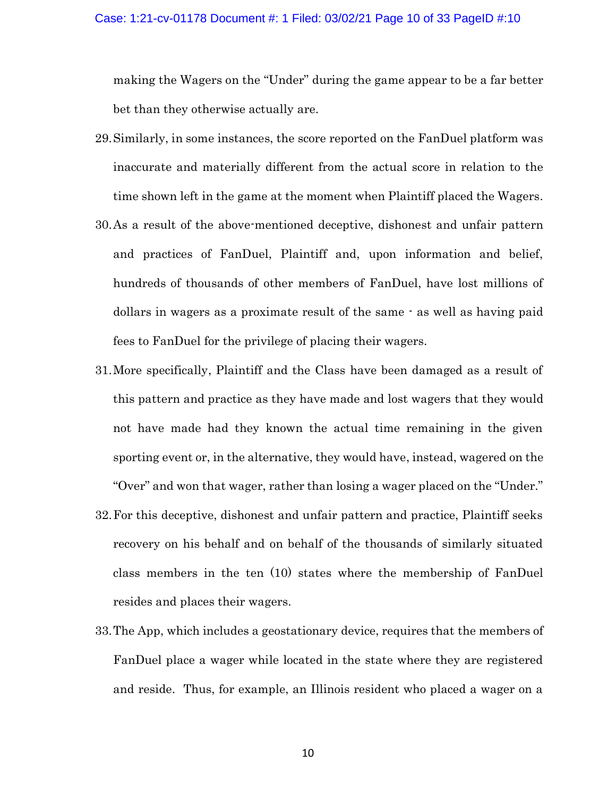making the Wagers on the "Under" during the game appear to be a far better bet than they otherwise actually are.

- 29.Similarly, in some instances, the score reported on the FanDuel platform was inaccurate and materially different from the actual score in relation to the time shown left in the game at the moment when Plaintiff placed the Wagers.
- 30.As a result of the above-mentioned deceptive, dishonest and unfair pattern and practices of FanDuel, Plaintiff and, upon information and belief, hundreds of thousands of other members of FanDuel, have lost millions of dollars in wagers as a proximate result of the same - as well as having paid fees to FanDuel for the privilege of placing their wagers.
- 31.More specifically, Plaintiff and the Class have been damaged as a result of this pattern and practice as they have made and lost wagers that they would not have made had they known the actual time remaining in the given sporting event or, in the alternative, they would have, instead, wagered on the "Over" and won that wager, rather than losing a wager placed on the "Under."
- 32.For this deceptive, dishonest and unfair pattern and practice, Plaintiff seeks recovery on his behalf and on behalf of the thousands of similarly situated class members in the ten (10) states where the membership of FanDuel resides and places their wagers.
- 33.The App, which includes a geostationary device, requires that the members of FanDuel place a wager while located in the state where they are registered and reside. Thus, for example, an Illinois resident who placed a wager on a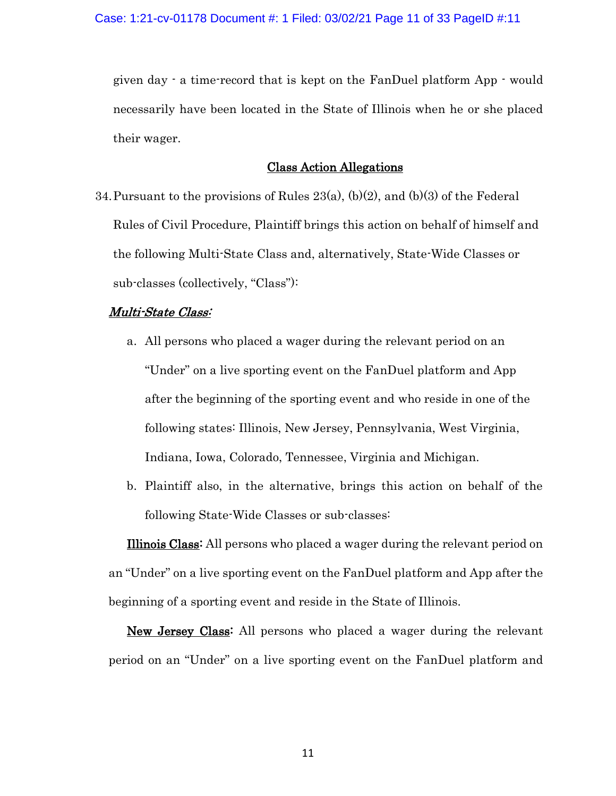given day - a time-record that is kept on the FanDuel platform App - would necessarily have been located in the State of Illinois when he or she placed their wager.

### Class Action Allegations

34. Pursuant to the provisions of Rules  $23(a)$ , (b)(2), and (b)(3) of the Federal Rules of Civil Procedure, Plaintiff brings this action on behalf of himself and the following Multi-State Class and, alternatively, State-Wide Classes or sub-classes (collectively, "Class"):

### Multi-State Class:

- a. All persons who placed a wager during the relevant period on an "Under" on a live sporting event on the FanDuel platform and App after the beginning of the sporting event and who reside in one of the following states: Illinois, New Jersey, Pennsylvania, West Virginia, Indiana, Iowa, Colorado, Tennessee, Virginia and Michigan.
- b. Plaintiff also, in the alternative, brings this action on behalf of the following State-Wide Classes or sub-classes:

Illinois Class: All persons who placed a wager during the relevant period on an "Under" on a live sporting event on the FanDuel platform and App after the beginning of a sporting event and reside in the State of Illinois.

New Jersey Class: All persons who placed a wager during the relevant period on an "Under" on a live sporting event on the FanDuel platform and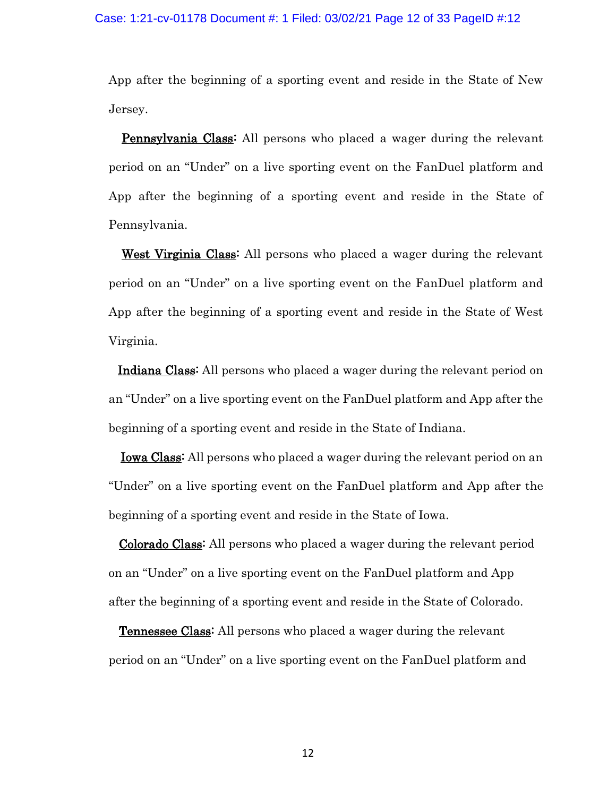#### Case: 1:21-cv-01178 Document #: 1 Filed: 03/02/21 Page 12 of 33 PageID #:12

App after the beginning of a sporting event and reside in the State of New Jersey.

Pennsylvania Class<sup>:</sup> All persons who placed a wager during the relevant period on an "Under" on a live sporting event on the FanDuel platform and App after the beginning of a sporting event and reside in the State of Pennsylvania.

West Virginia Class: All persons who placed a wager during the relevant period on an "Under" on a live sporting event on the FanDuel platform and App after the beginning of a sporting event and reside in the State of West Virginia.

Indiana Class: All persons who placed a wager during the relevant period on an "Under" on a live sporting event on the FanDuel platform and App after the beginning of a sporting event and reside in the State of Indiana.

Iowa Class: All persons who placed a wager during the relevant period on an "Under" on a live sporting event on the FanDuel platform and App after the beginning of a sporting event and reside in the State of Iowa.

 Colorado Class: All persons who placed a wager during the relevant period on an "Under" on a live sporting event on the FanDuel platform and App after the beginning of a sporting event and reside in the State of Colorado.

 Tennessee Class: All persons who placed a wager during the relevant period on an "Under" on a live sporting event on the FanDuel platform and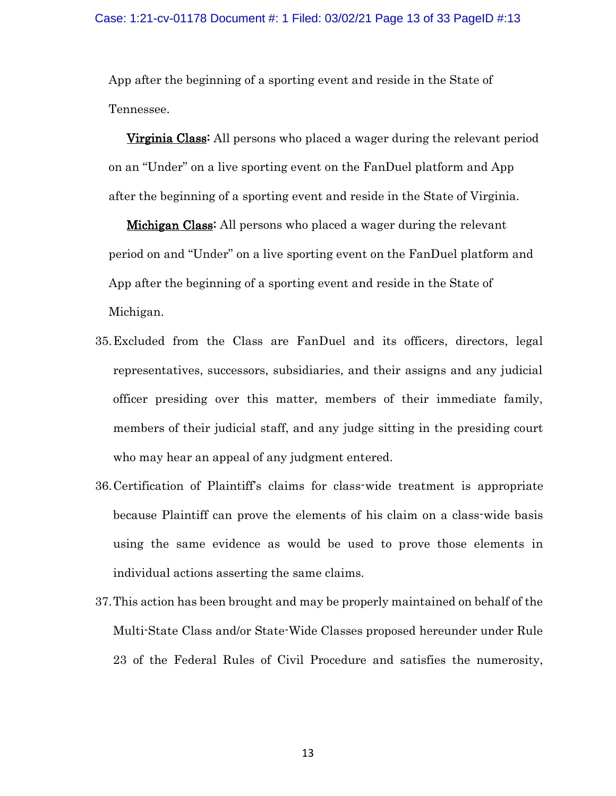App after the beginning of a sporting event and reside in the State of Tennessee.

Virginia Class: All persons who placed a wager during the relevant period on an "Under" on a live sporting event on the FanDuel platform and App after the beginning of a sporting event and reside in the State of Virginia.

Michigan Class: All persons who placed a wager during the relevant period on and "Under" on a live sporting event on the FanDuel platform and App after the beginning of a sporting event and reside in the State of Michigan.

- 35.Excluded from the Class are FanDuel and its officers, directors, legal representatives, successors, subsidiaries, and their assigns and any judicial officer presiding over this matter, members of their immediate family, members of their judicial staff, and any judge sitting in the presiding court who may hear an appeal of any judgment entered.
- 36.Certification of Plaintiff's claims for class-wide treatment is appropriate because Plaintiff can prove the elements of his claim on a class-wide basis using the same evidence as would be used to prove those elements in individual actions asserting the same claims.
- 37.This action has been brought and may be properly maintained on behalf of the Multi-State Class and/or State-Wide Classes proposed hereunder under Rule 23 of the Federal Rules of Civil Procedure and satisfies the numerosity,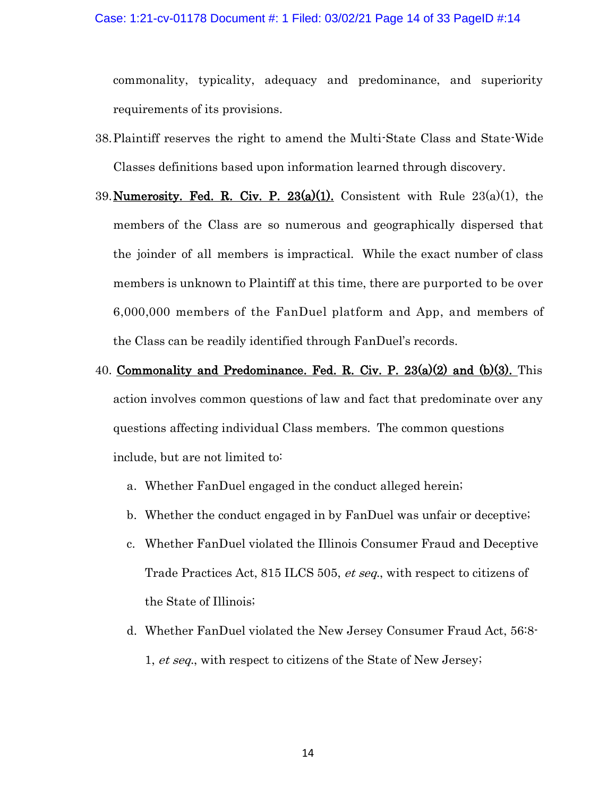#### Case: 1:21-cv-01178 Document #: 1 Filed: 03/02/21 Page 14 of 33 PageID #:14

commonality, typicality, adequacy and predominance, and superiority requirements of its provisions.

- 38.Plaintiff reserves the right to amend the Multi-State Class and State-Wide Classes definitions based upon information learned through discovery.
- 39. Numerosity. Fed. R. Civ. P.  $23(a)(1)$ . Consistent with Rule  $23(a)(1)$ , the members of the Class are so numerous and geographically dispersed that the joinder of all members is impractical. While the exact number of class members is unknown to Plaintiff at this time, there are purported to be over 6,000,000 members of the FanDuel platform and App, and members of the Class can be readily identified through FanDuel's records.
- 40. Commonality and Predominance. Fed. R. Civ. P.  $23(a)(2)$  and  $(b)(3)$ . This action involves common questions of law and fact that predominate over any questions affecting individual Class members. The common questions include, but are not limited to:
	- a. Whether FanDuel engaged in the conduct alleged herein;
	- b. Whether the conduct engaged in by FanDuel was unfair or deceptive;
	- c. Whether FanDuel violated the Illinois Consumer Fraud and Deceptive Trade Practices Act, 815 ILCS 505, et seq., with respect to citizens of the State of Illinois;
	- d. Whether FanDuel violated the New Jersey Consumer Fraud Act, 56:8- 1, et seq., with respect to citizens of the State of New Jersey;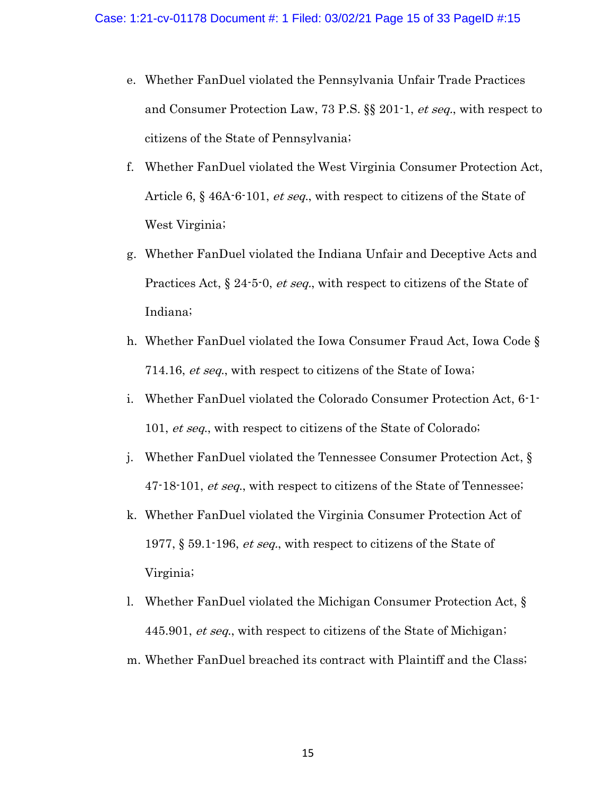- e. Whether FanDuel violated the Pennsylvania Unfair Trade Practices and Consumer Protection Law, 73 P.S. §§ 201-1, et seq., with respect to citizens of the State of Pennsylvania;
- f. Whether FanDuel violated the West Virginia Consumer Protection Act, Article 6, § 46A-6-101, et seq., with respect to citizens of the State of West Virginia;
- g. Whether FanDuel violated the Indiana Unfair and Deceptive Acts and Practices Act,  $\S 24$ -5-0, *et seq.*, with respect to citizens of the State of Indiana;
- h. Whether FanDuel violated the Iowa Consumer Fraud Act, Iowa Code § 714.16, et seq., with respect to citizens of the State of Iowa;
- i. Whether FanDuel violated the Colorado Consumer Protection Act, 6-1- 101, et seq., with respect to citizens of the State of Colorado;
- j. Whether FanDuel violated the Tennessee Consumer Protection Act, § 47-18-101, et seq., with respect to citizens of the State of Tennessee;
- k. Whether FanDuel violated the Virginia Consumer Protection Act of 1977, § 59.1-196, *et seq.*, with respect to citizens of the State of Virginia;
- l. Whether FanDuel violated the Michigan Consumer Protection Act, § 445.901, et seq., with respect to citizens of the State of Michigan;
- m. Whether FanDuel breached its contract with Plaintiff and the Class;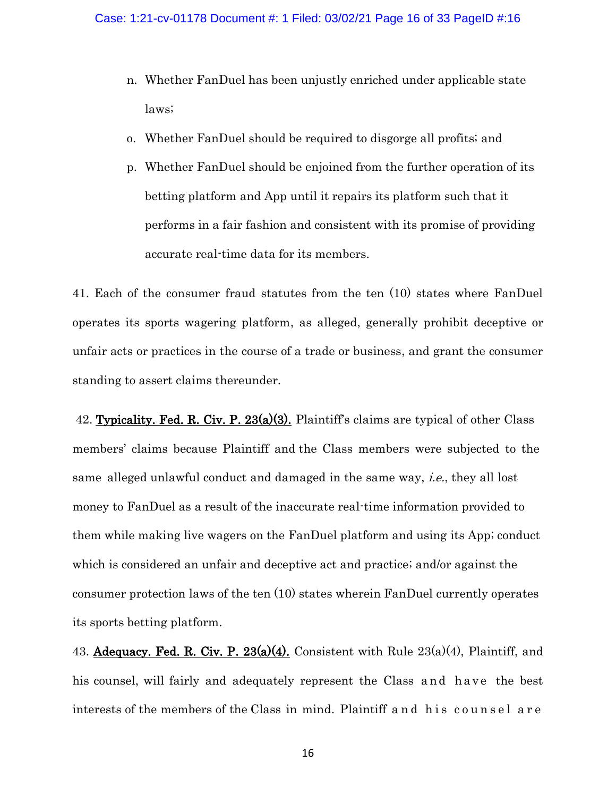- n. Whether FanDuel has been unjustly enriched under applicable state laws;
- o. Whether FanDuel should be required to disgorge all profits; and
- p. Whether FanDuel should be enjoined from the further operation of its betting platform and App until it repairs its platform such that it performs in a fair fashion and consistent with its promise of providing accurate real-time data for its members.

41. Each of the consumer fraud statutes from the ten (10) states where FanDuel operates its sports wagering platform, as alleged, generally prohibit deceptive or unfair acts or practices in the course of a trade or business, and grant the consumer standing to assert claims thereunder.

42. Typicality. Fed. R. Civ. P.  $23(a)(3)$ . Plaintiff's claims are typical of other Class members' claims because Plaintiff and the Class members were subjected to the same alleged unlawful conduct and damaged in the same way, i.e., they all lost money to FanDuel as a result of the inaccurate real-time information provided to them while making live wagers on the FanDuel platform and using its App; conduct which is considered an unfair and deceptive act and practice; and/or against the consumer protection laws of the ten (10) states wherein FanDuel currently operates its sports betting platform.

43. Adequacy. Fed. R. Civ. P.  $23(a)(4)$ . Consistent with Rule  $23(a)(4)$ , Plaintiff, and his counsel, will fairly and adequately represent the Class and have the best interests of the members of the Class in mind. Plaintiff and his counsel are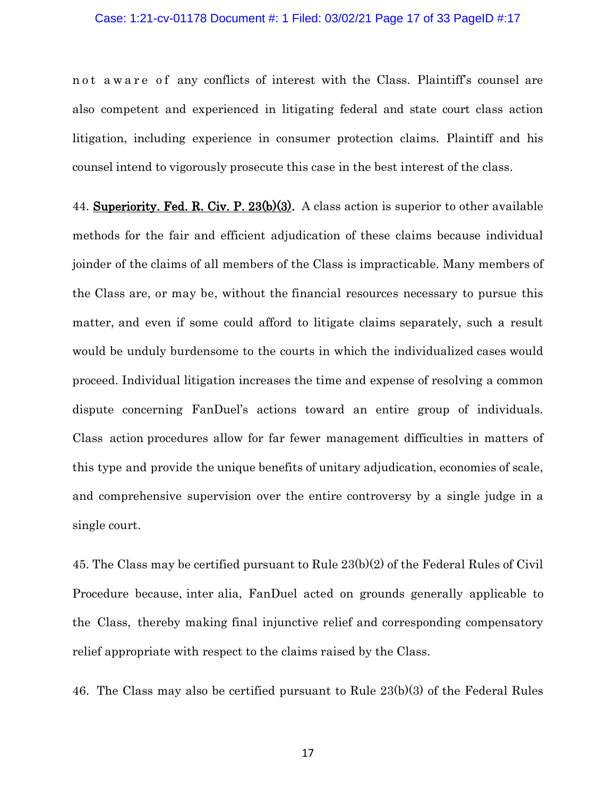#### Case: 1:21-cv-01178 Document #: 1 Filed: 03/02/21 Page 17 of 33 PageID #:17

n ot a w a r e of any conflicts of interest with the Class. Plaintiff's counsel are also competent and experienced in litigating federal and state court class action litigation, including experience in consumer protection claims. Plaintiff and his counsel intend to vigorously prosecute this case in the best interest of the class.

44. Superiority. Fed. R. Civ. P.  $23(b)(3)$ . A class action is superior to other available methods for the fair and efficient adjudication of these claims because individual joinder of the claims of all members of the Class is impracticable. Many members of the Class are, or may be, without the financial resources necessary to pursue this matter, and even if some could afford to litigate claims separately, such a result would be unduly burdensome to the courts in which the individualized cases would proceed. Individual litigation increases the time and expense of resolving a common dispute concerning FanDuel's actions toward an entire group of individuals. Class action procedures allow for far fewer management difficulties in matters of this type and provide the unique benefits of unitary adjudication, economies of scale, and comprehensive supervision over the entire controversy by a single judge in a single court.

45. The Class may be certified pursuant to Rule 23(b)(2) of the Federal Rules of Civil Procedure because, inter alia, FanDuel acted on grounds generally applicable to the Class, thereby making final injunctive relief and corresponding compensatory relief appropriate with respect to the claims raised by the Class.

46. The Class may also be certified pursuant to Rule 23(b)(3) of the Federal Rules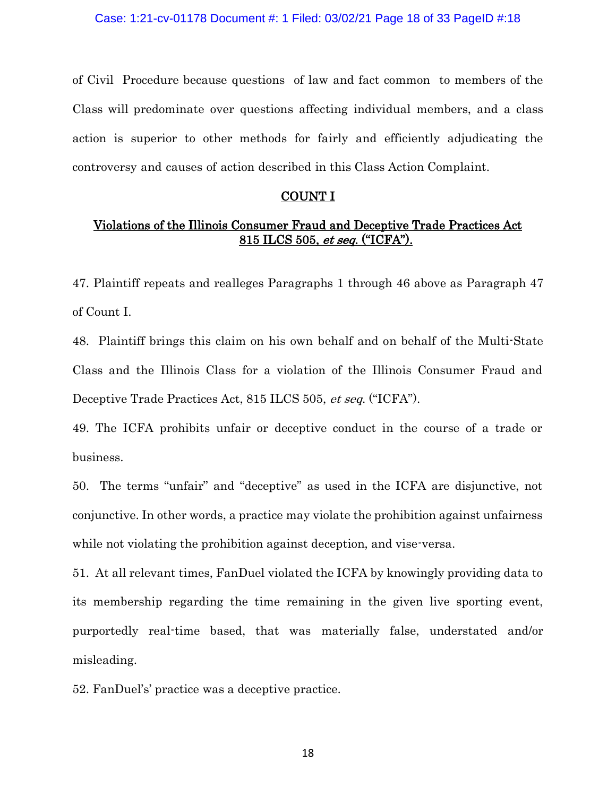of Civil Procedure because questions of law and fact common to members of the Class will predominate over questions affecting individual members, and a class action is superior to other methods for fairly and efficiently adjudicating the controversy and causes of action described in this Class Action Complaint.

### <u>COUNT I</u>

# Violations of the Illinois Consumer Fraud and Deceptive Trade Practices Act 815 ILCS 505, et seq. ("ICFA").

47. Plaintiff repeats and realleges Paragraphs 1 through 46 above as Paragraph 47 of Count I.

48. Plaintiff brings this claim on his own behalf and on behalf of the Multi-State Class and the Illinois Class for a violation of the Illinois Consumer Fraud and Deceptive Trade Practices Act, 815 ILCS 505, et seq. ("ICFA").

49. The ICFA prohibits unfair or deceptive conduct in the course of a trade or business.

50. The terms "unfair" and "deceptive" as used in the ICFA are disjunctive, not conjunctive. In other words, a practice may violate the prohibition against unfairness while not violating the prohibition against deception, and vise-versa.

51. At all relevant times, FanDuel violated the ICFA by knowingly providing data to its membership regarding the time remaining in the given live sporting event, purportedly real-time based, that was materially false, understated and/or misleading.

52. FanDuel's' practice was a deceptive practice.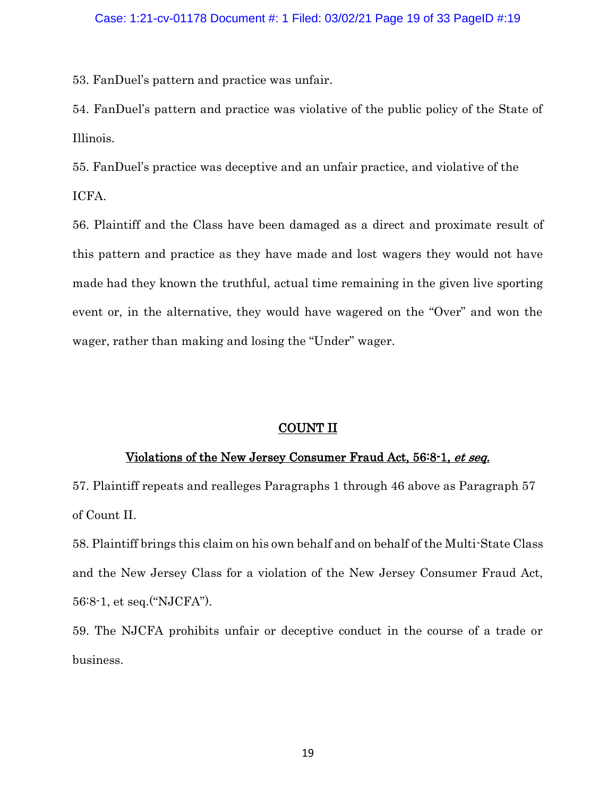53. FanDuel's pattern and practice was unfair.

54. FanDuel's pattern and practice was violative of the public policy of the State of Illinois.

55. FanDuel's practice was deceptive and an unfair practice, and violative of the ICFA.

56. Plaintiff and the Class have been damaged as a direct and proximate result of this pattern and practice as they have made and lost wagers they would not have made had they known the truthful, actual time remaining in the given live sporting event or, in the alternative, they would have wagered on the "Over" and won the wager, rather than making and losing the "Under" wager.

## COUNT II

## Violations of the New Jersey Consumer Fraud Act, 56:8-1, et seq.

57. Plaintiff repeats and realleges Paragraphs 1 through 46 above as Paragraph 57 of Count II.

58. Plaintiff brings this claim on his own behalf and on behalf of the Multi-State Class and the New Jersey Class for a violation of the New Jersey Consumer Fraud Act, 56:8-1, et seq.("NJCFA").

59. The NJCFA prohibits unfair or deceptive conduct in the course of a trade or business.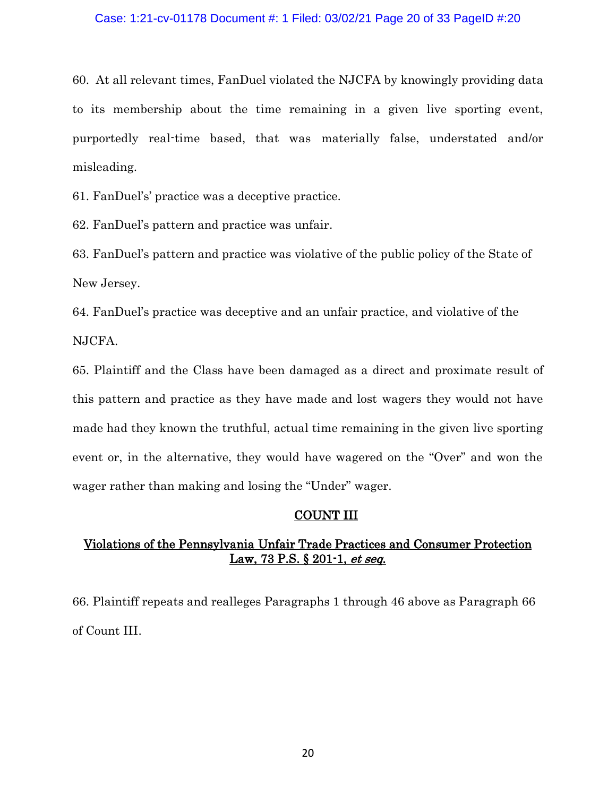#### Case: 1:21-cv-01178 Document #: 1 Filed: 03/02/21 Page 20 of 33 PageID #:20

60. At all relevant times, FanDuel violated the NJCFA by knowingly providing data to its membership about the time remaining in a given live sporting event, purportedly real-time based, that was materially false, understated and/or misleading.

61. FanDuel's' practice was a deceptive practice.

62. FanDuel's pattern and practice was unfair.

63. FanDuel's pattern and practice was violative of the public policy of the State of New Jersey.

64. FanDuel's practice was deceptive and an unfair practice, and violative of the NJCFA.

65. Plaintiff and the Class have been damaged as a direct and proximate result of this pattern and practice as they have made and lost wagers they would not have made had they known the truthful, actual time remaining in the given live sporting event or, in the alternative, they would have wagered on the "Over" and won the wager rather than making and losing the "Under" wager.

## COUNT III

# Violations of the Pennsylvania Unfair Trade Practices and Consumer Protection Law, 73 P.S. § 201-1, et seq.

66. Plaintiff repeats and realleges Paragraphs 1 through 46 above as Paragraph 66 of Count III.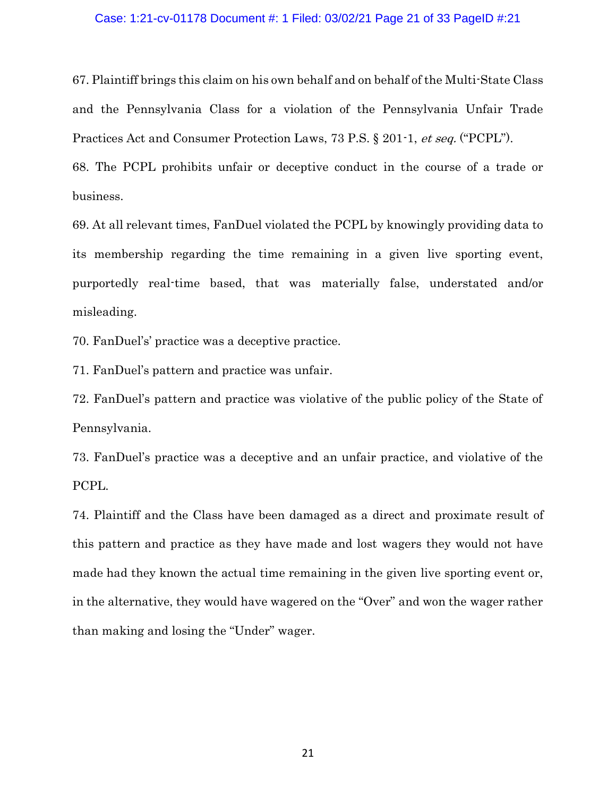#### Case: 1:21-cv-01178 Document #: 1 Filed: 03/02/21 Page 21 of 33 PageID #:21

67. Plaintiff brings this claim on his own behalf and on behalf of the Multi-State Class and the Pennsylvania Class for a violation of the Pennsylvania Unfair Trade Practices Act and Consumer Protection Laws, 73 P.S. § 201-1, et seq. ("PCPL").

68. The PCPL prohibits unfair or deceptive conduct in the course of a trade or business.

69. At all relevant times, FanDuel violated the PCPL by knowingly providing data to its membership regarding the time remaining in a given live sporting event, purportedly real-time based, that was materially false, understated and/or misleading.

70. FanDuel's' practice was a deceptive practice.

71. FanDuel's pattern and practice was unfair.

72. FanDuel's pattern and practice was violative of the public policy of the State of Pennsylvania.

73. FanDuel's practice was a deceptive and an unfair practice, and violative of the PCPL.

74. Plaintiff and the Class have been damaged as a direct and proximate result of this pattern and practice as they have made and lost wagers they would not have made had they known the actual time remaining in the given live sporting event or, in the alternative, they would have wagered on the "Over" and won the wager rather than making and losing the "Under" wager.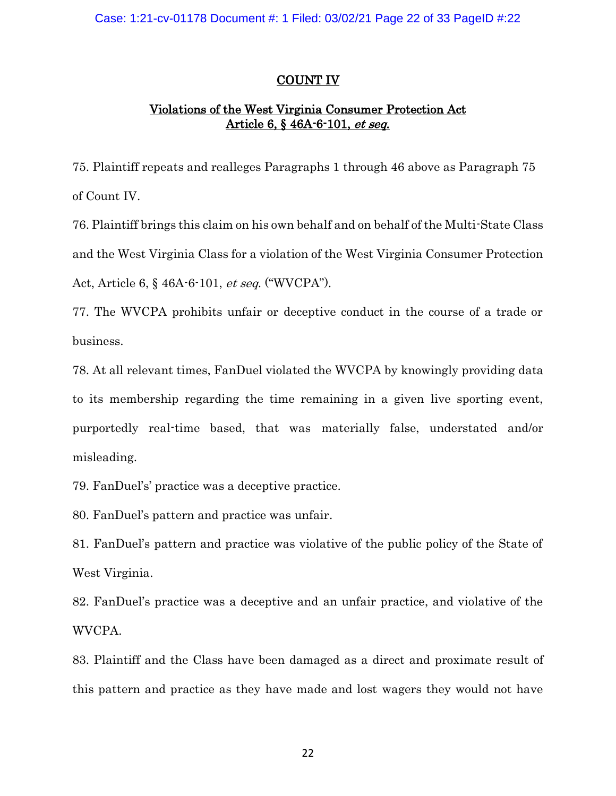# COUNT IV

# Violations of the West Virginia Consumer Protection Act Article 6, § 46A-6-101, et seq.

75. Plaintiff repeats and realleges Paragraphs 1 through 46 above as Paragraph 75 of Count IV.

76. Plaintiff brings this claim on his own behalf and on behalf of the Multi-State Class and the West Virginia Class for a violation of the West Virginia Consumer Protection Act, Article 6, § 46A-6-101, et seq. ("WVCPA").

77. The WVCPA prohibits unfair or deceptive conduct in the course of a trade or business.

78. At all relevant times, FanDuel violated the WVCPA by knowingly providing data to its membership regarding the time remaining in a given live sporting event, purportedly real-time based, that was materially false, understated and/or misleading.

79. FanDuel's' practice was a deceptive practice.

80. FanDuel's pattern and practice was unfair.

81. FanDuel's pattern and practice was violative of the public policy of the State of West Virginia.

82. FanDuel's practice was a deceptive and an unfair practice, and violative of the WVCPA.

83. Plaintiff and the Class have been damaged as a direct and proximate result of this pattern and practice as they have made and lost wagers they would not have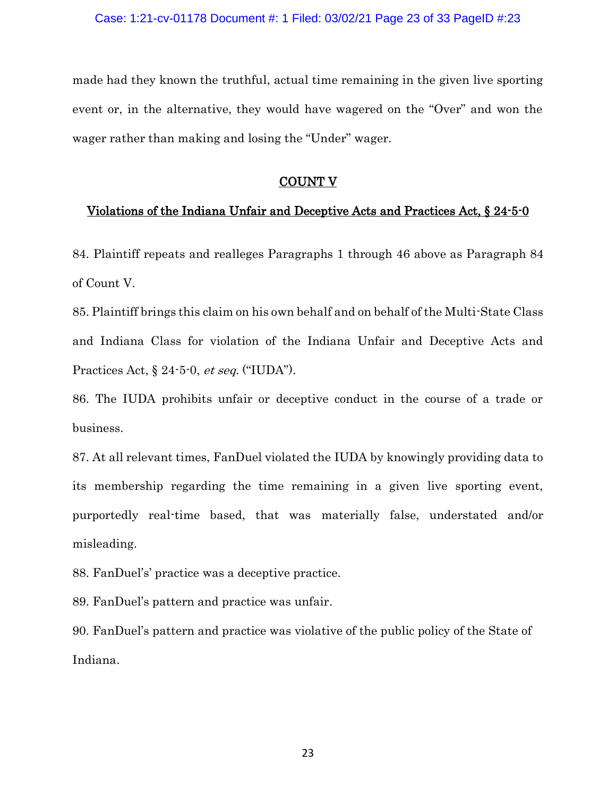made had they known the truthful, actual time remaining in the given live sporting event or, in the alternative, they would have wagered on the "Over" and won the wager rather than making and losing the "Under" wager.

### COUNT V

### Violations of the Indiana Unfair and Deceptive Acts and Practices Act, § 24-5-0

84. Plaintiff repeats and realleges Paragraphs 1 through 46 above as Paragraph 84 of Count V.

85. Plaintiff brings this claim on his own behalf and on behalf of the Multi-State Class and Indiana Class for violation of the Indiana Unfair and Deceptive Acts and Practices Act, § 24-5-0, et seq. ("IUDA").

86. The IUDA prohibits unfair or deceptive conduct in the course of a trade or business.

87. At all relevant times, FanDuel violated the IUDA by knowingly providing data to its membership regarding the time remaining in a given live sporting event, purportedly real-time based, that was materially false, understated and/or misleading.

88. FanDuel's' practice was a deceptive practice.

89. FanDuel's pattern and practice was unfair.

90. FanDuel's pattern and practice was violative of the public policy of the State of Indiana.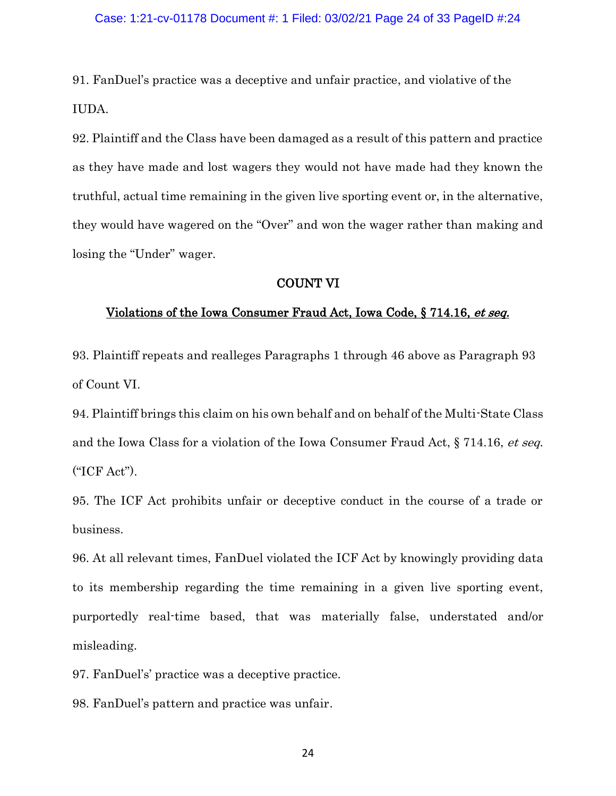91. FanDuel's practice was a deceptive and unfair practice, and violative of the IUDA.

92. Plaintiff and the Class have been damaged as a result of this pattern and practice as they have made and lost wagers they would not have made had they known the truthful, actual time remaining in the given live sporting event or, in the alternative, they would have wagered on the "Over" and won the wager rather than making and losing the "Under" wager.

### COUNT VI

### Violations of the Iowa Consumer Fraud Act, Iowa Code, § 714.16, et seq.

93. Plaintiff repeats and realleges Paragraphs 1 through 46 above as Paragraph 93 of Count VI.

94. Plaintiff brings this claim on his own behalf and on behalf of the Multi-State Class and the Iowa Class for a violation of the Iowa Consumer Fraud Act, § 714.16, et seq. ("ICF Act").

95. The ICF Act prohibits unfair or deceptive conduct in the course of a trade or business.

96. At all relevant times, FanDuel violated the ICF Act by knowingly providing data to its membership regarding the time remaining in a given live sporting event, purportedly real-time based, that was materially false, understated and/or misleading.

97. FanDuel's' practice was a deceptive practice.

98. FanDuel's pattern and practice was unfair.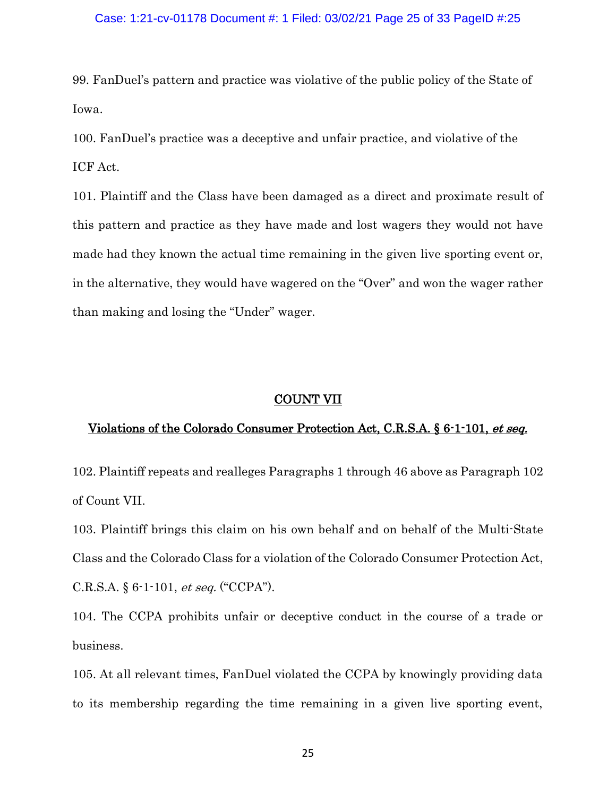#### Case: 1:21-cv-01178 Document #: 1 Filed: 03/02/21 Page 25 of 33 PageID #:25

99. FanDuel's pattern and practice was violative of the public policy of the State of Iowa.

100. FanDuel's practice was a deceptive and unfair practice, and violative of the ICF Act.

101. Plaintiff and the Class have been damaged as a direct and proximate result of this pattern and practice as they have made and lost wagers they would not have made had they known the actual time remaining in the given live sporting event or, in the alternative, they would have wagered on the "Over" and won the wager rather than making and losing the "Under" wager.

#### COUNT VII

### Violations of the Colorado Consumer Protection Act, C.R.S.A. § 6-1-101, et seq.

102. Plaintiff repeats and realleges Paragraphs 1 through 46 above as Paragraph 102 of Count VII.

103. Plaintiff brings this claim on his own behalf and on behalf of the Multi-State Class and the Colorado Class for a violation of the Colorado Consumer Protection Act, C.R.S.A. § 6-1-101, et seq. ("CCPA").

104. The CCPA prohibits unfair or deceptive conduct in the course of a trade or business.

105. At all relevant times, FanDuel violated the CCPA by knowingly providing data to its membership regarding the time remaining in a given live sporting event,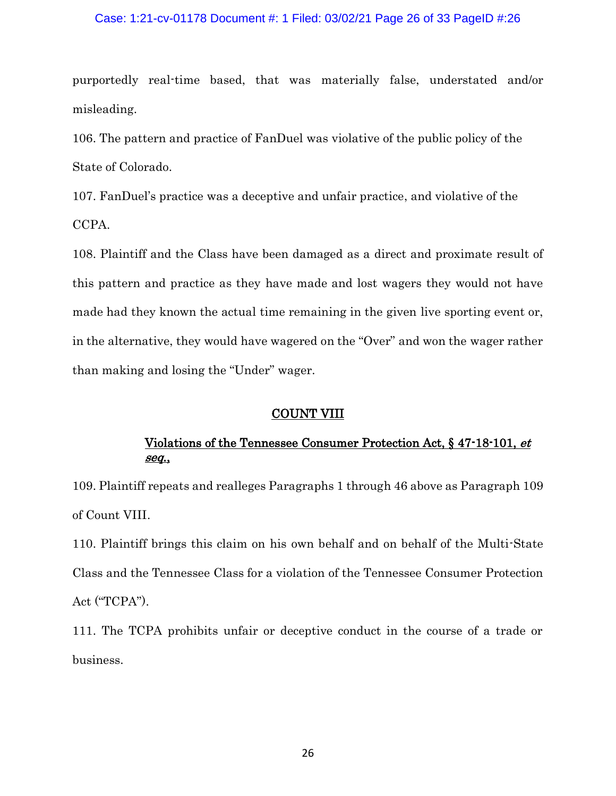#### Case: 1:21-cv-01178 Document #: 1 Filed: 03/02/21 Page 26 of 33 PageID #:26

purportedly real-time based, that was materially false, understated and/or misleading.

106. The pattern and practice of FanDuel was violative of the public policy of the State of Colorado.

107. FanDuel's practice was a deceptive and unfair practice, and violative of the CCPA.

108. Plaintiff and the Class have been damaged as a direct and proximate result of this pattern and practice as they have made and lost wagers they would not have made had they known the actual time remaining in the given live sporting event or, in the alternative, they would have wagered on the "Over" and won the wager rather than making and losing the "Under" wager.

#### COUNT VIII

# Violations of the Tennessee Consumer Protection Act, § 47-18-101, et seq.,

109. Plaintiff repeats and realleges Paragraphs 1 through 46 above as Paragraph 109 of Count VIII.

110. Plaintiff brings this claim on his own behalf and on behalf of the Multi-State Class and the Tennessee Class for a violation of the Tennessee Consumer Protection Act ("TCPA").

111. The TCPA prohibits unfair or deceptive conduct in the course of a trade or business.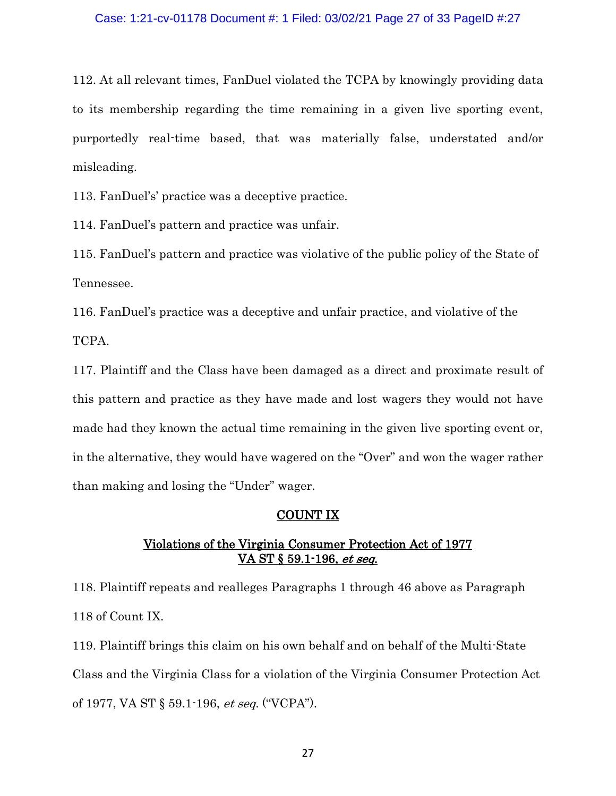#### Case: 1:21-cv-01178 Document #: 1 Filed: 03/02/21 Page 27 of 33 PageID #:27

112. At all relevant times, FanDuel violated the TCPA by knowingly providing data to its membership regarding the time remaining in a given live sporting event, purportedly real-time based, that was materially false, understated and/or misleading.

113. FanDuel's' practice was a deceptive practice.

114. FanDuel's pattern and practice was unfair.

115. FanDuel's pattern and practice was violative of the public policy of the State of Tennessee.

116. FanDuel's practice was a deceptive and unfair practice, and violative of the TCPA.

117. Plaintiff and the Class have been damaged as a direct and proximate result of this pattern and practice as they have made and lost wagers they would not have made had they known the actual time remaining in the given live sporting event or, in the alternative, they would have wagered on the "Over" and won the wager rather than making and losing the "Under" wager.

### COUNT IX

# Violations of the Virginia Consumer Protection Act of 1977 VA ST § 59.1-196, et seq.

118. Plaintiff repeats and realleges Paragraphs 1 through 46 above as Paragraph 118 of Count IX.

119. Plaintiff brings this claim on his own behalf and on behalf of the Multi-State Class and the Virginia Class for a violation of the Virginia Consumer Protection Act of 1977, VA ST § 59.1-196, et seq. ("VCPA").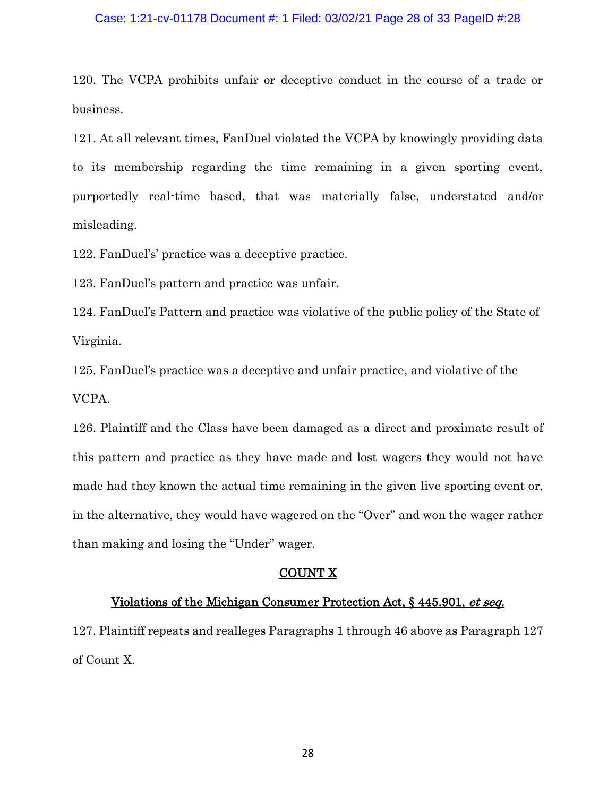#### Case: 1:21-cv-01178 Document #: 1 Filed: 03/02/21 Page 28 of 33 PageID #:28

120. The VCPA prohibits unfair or deceptive conduct in the course of a trade or business.

121. At all relevant times, FanDuel violated the VCPA by knowingly providing data to its membership regarding the time remaining in a given sporting event, purportedly real-time based, that was materially false, understated and/or misleading.

122. FanDuel's' practice was a deceptive practice.

123. FanDuel's pattern and practice was unfair.

124. FanDuel's Pattern and practice was violative of the public policy of the State of Virginia.

125. FanDuel's practice was a deceptive and unfair practice, and violative of the VCPA.

126. Plaintiff and the Class have been damaged as a direct and proximate result of this pattern and practice as they have made and lost wagers they would not have made had they known the actual time remaining in the given live sporting event or, in the alternative, they would have wagered on the "Over" and won the wager rather than making and losing the "Under" wager.

#### COUNT X

#### Violations of the Michigan Consumer Protection Act, § 445.901, et seq.

127. Plaintiff repeats and realleges Paragraphs 1 through 46 above as Paragraph 127 of Count X.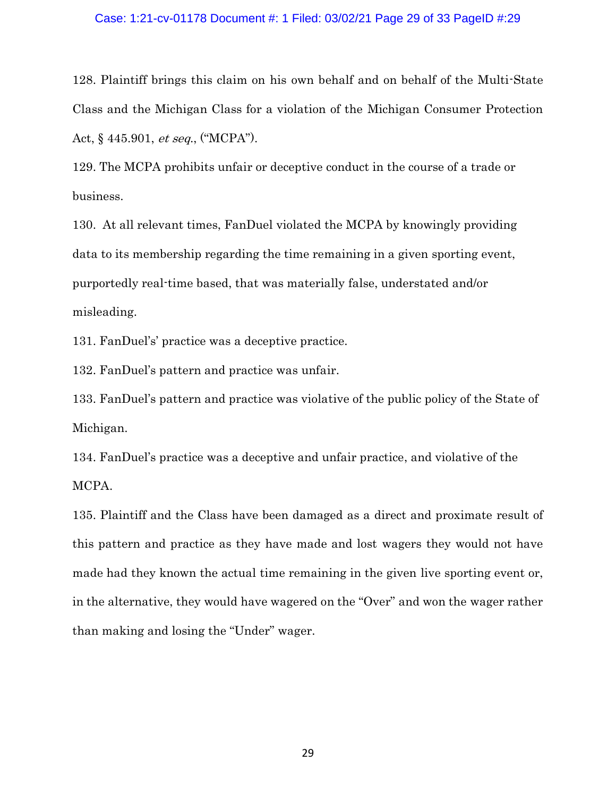#### Case: 1:21-cv-01178 Document #: 1 Filed: 03/02/21 Page 29 of 33 PageID #:29

128. Plaintiff brings this claim on his own behalf and on behalf of the Multi-State Class and the Michigan Class for a violation of the Michigan Consumer Protection Act, § 445.901, et seq., ("MCPA").

129. The MCPA prohibits unfair or deceptive conduct in the course of a trade or business.

130. At all relevant times, FanDuel violated the MCPA by knowingly providing data to its membership regarding the time remaining in a given sporting event, purportedly real-time based, that was materially false, understated and/or misleading.

131. FanDuel's' practice was a deceptive practice.

132. FanDuel's pattern and practice was unfair.

133. FanDuel's pattern and practice was violative of the public policy of the State of Michigan.

134. FanDuel's practice was a deceptive and unfair practice, and violative of the MCPA.

135. Plaintiff and the Class have been damaged as a direct and proximate result of this pattern and practice as they have made and lost wagers they would not have made had they known the actual time remaining in the given live sporting event or, in the alternative, they would have wagered on the "Over" and won the wager rather than making and losing the "Under" wager.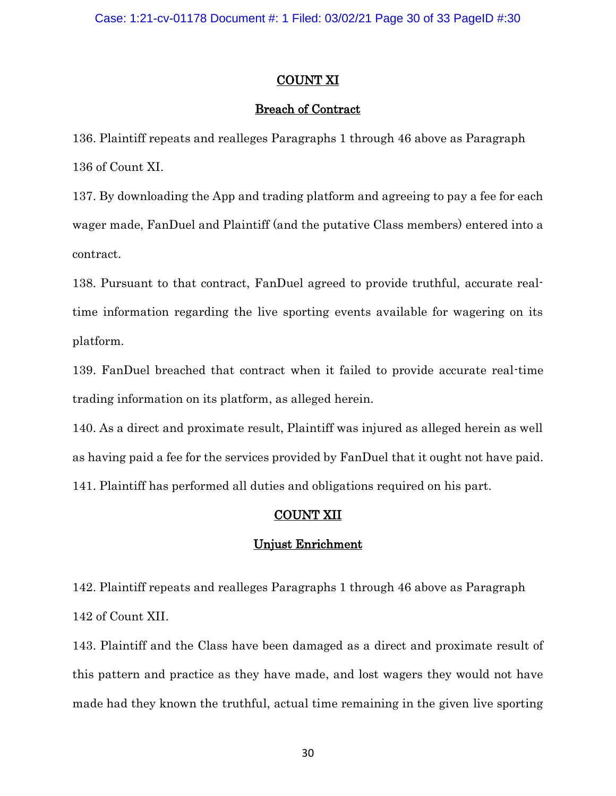# COUNT XI

# Breach of Contract

136. Plaintiff repeats and realleges Paragraphs 1 through 46 above as Paragraph 136 of Count XI.

137. By downloading the App and trading platform and agreeing to pay a fee for each wager made, FanDuel and Plaintiff (and the putative Class members) entered into a contract.

138. Pursuant to that contract, FanDuel agreed to provide truthful, accurate realtime information regarding the live sporting events available for wagering on its platform.

139. FanDuel breached that contract when it failed to provide accurate real-time trading information on its platform, as alleged herein.

140. As a direct and proximate result, Plaintiff was injured as alleged herein as well as having paid a fee for the services provided by FanDuel that it ought not have paid. 141. Plaintiff has performed all duties and obligations required on his part.

# COUNT XII

# Unjust Enrichment

142. Plaintiff repeats and realleges Paragraphs 1 through 46 above as Paragraph 142 of Count XII.

143. Plaintiff and the Class have been damaged as a direct and proximate result of this pattern and practice as they have made, and lost wagers they would not have made had they known the truthful, actual time remaining in the given live sporting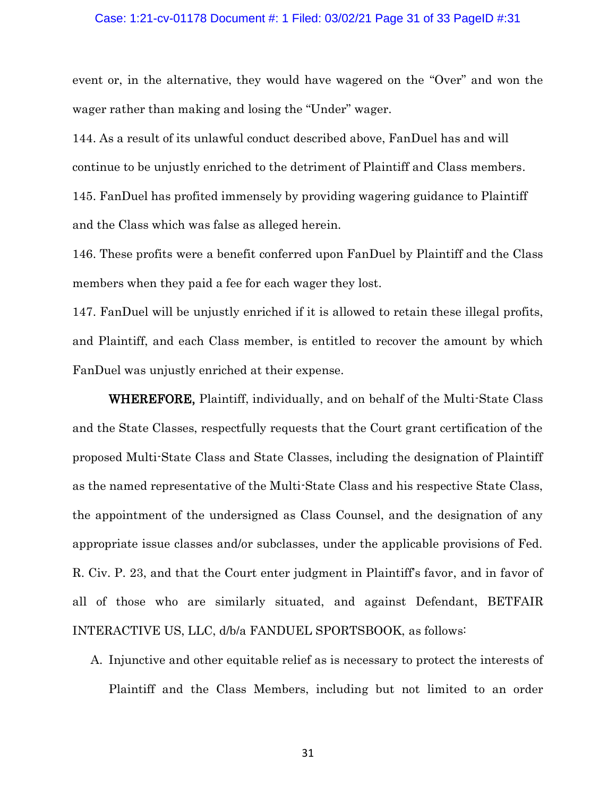#### Case: 1:21-cv-01178 Document #: 1 Filed: 03/02/21 Page 31 of 33 PageID #:31

event or, in the alternative, they would have wagered on the "Over" and won the wager rather than making and losing the "Under" wager.

144. As a result of its unlawful conduct described above, FanDuel has and will continue to be unjustly enriched to the detriment of Plaintiff and Class members. 145. FanDuel has profited immensely by providing wagering guidance to Plaintiff and the Class which was false as alleged herein.

146. These profits were a benefit conferred upon FanDuel by Plaintiff and the Class members when they paid a fee for each wager they lost.

147. FanDuel will be unjustly enriched if it is allowed to retain these illegal profits, and Plaintiff, and each Class member, is entitled to recover the amount by which FanDuel was unjustly enriched at their expense.

WHEREFORE, Plaintiff, individually, and on behalf of the Multi-State Class and the State Classes, respectfully requests that the Court grant certification of the proposed Multi-State Class and State Classes, including the designation of Plaintiff as the named representative of the Multi-State Class and his respective State Class, the appointment of the undersigned as Class Counsel, and the designation of any appropriate issue classes and/or subclasses, under the applicable provisions of Fed. R. Civ. P. 23, and that the Court enter judgment in Plaintiff's favor, and in favor of all of those who are similarly situated, and against Defendant, BETFAIR INTERACTIVE US, LLC, d/b/a FANDUEL SPORTSBOOK, as follows:

A. Injunctive and other equitable relief as is necessary to protect the interests of Plaintiff and the Class Members, including but not limited to an order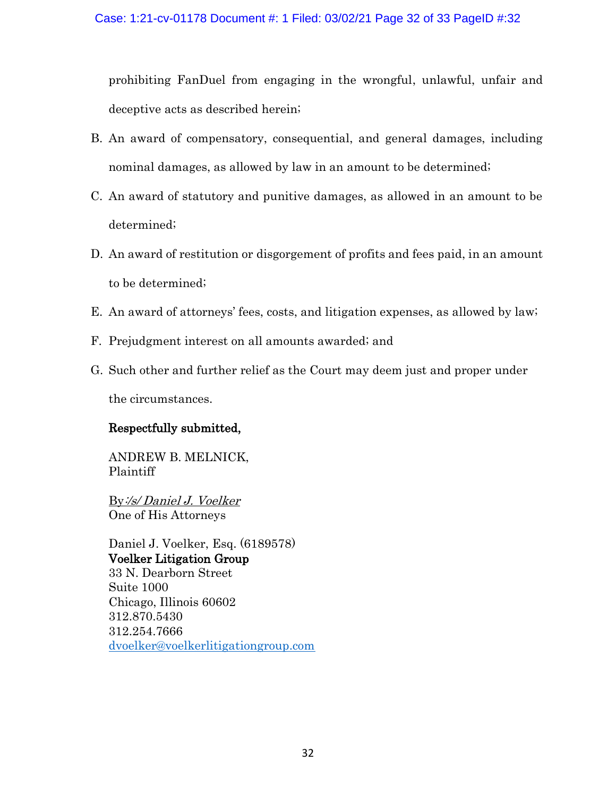prohibiting FanDuel from engaging in the wrongful, unlawful, unfair and deceptive acts as described herein;

- B. An award of compensatory, consequential, and general damages, including nominal damages, as allowed by law in an amount to be determined;
- C. An award of statutory and punitive damages, as allowed in an amount to be determined;
- D. An award of restitution or disgorgement of profits and fees paid, in an amount to be determined;
- E. An award of attorneys' fees, costs, and litigation expenses, as allowed by law;
- F. Prejudgment interest on all amounts awarded; and
- G. Such other and further relief as the Court may deem just and proper under the circumstances.

# Respectfully submitted,

ANDREW B. MELNICK, Plaintiff

By:/s/ Daniel J. Voelker One of His Attorneys

Daniel J. Voelker, Esq. (6189578) Voelker Litigation Group 33 N. Dearborn Street Suite 1000 Chicago, Illinois 60602 312.870.5430 312.254.7666 [dvoelker@voelkerlitigationgroup.com](mailto:dvoelker@voelkerlitigationgroup.com)